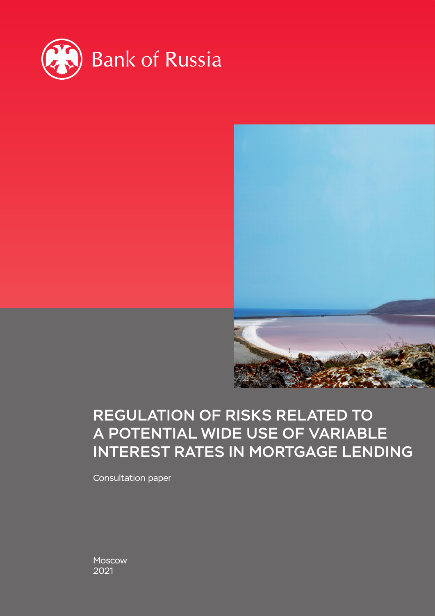



# REGULATION OF RISKS RELATED TO A POTENTIAL WIDE USE OF VARIABLE INTEREST RATES IN MORTGAGE LENDING

Consultation paper

Moscow 2021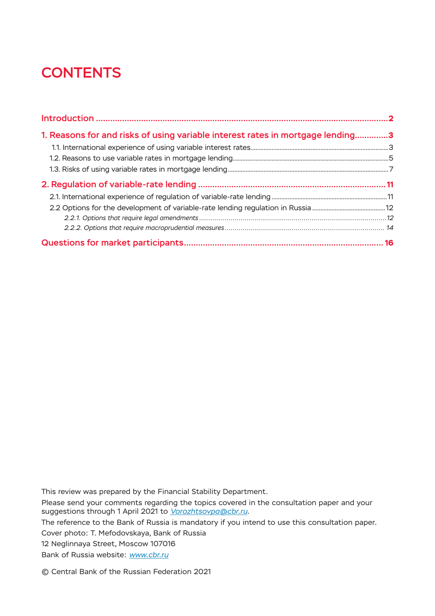# **CONTENTS**

| 1. Reasons for and risks of using variable interest rates in mortgage lending3 |  |
|--------------------------------------------------------------------------------|--|
|                                                                                |  |
|                                                                                |  |
|                                                                                |  |
|                                                                                |  |
|                                                                                |  |
|                                                                                |  |
|                                                                                |  |
|                                                                                |  |
|                                                                                |  |

This review was prepared by the Financial Stability Department.

Please send your comments regarding the topics covered in the consultation paper and your suggestions through 1 April 2021 to *[Vorozhtsovpa@cbr.ru](mailto:Vorozhtsovpa%40cbr.ru?subject=Regulation%20of%20Risks%20Related%20to%20a%20Potential%20Spread%20of%20Variable%20Interest%20Rates%20in%20Mortgage%20Lending%3A%20suggestions)*.

The reference to the Bank of Russia is mandatory if you intend to use this consultation paper.

Cover photo: T. Mefodovskaya, Bank of Russia

12 Neglinnaya Street, Moscow 107016

Bank of Russia website: *www.cbr.ru*

© Central Bank of the Russian Federation 2021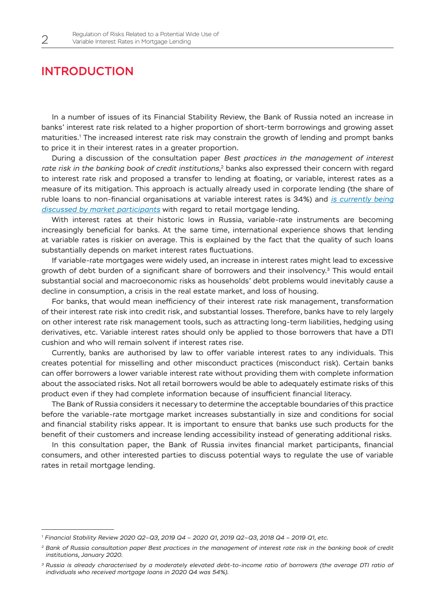### <span id="page-2-0"></span>INTRODUCTION

In a number of issues of its Financial Stability Review, the Bank of Russia noted an increase in banks' interest rate risk related to a higher proportion of short-term borrowings and growing asset maturities.1 The increased interest rate risk may constrain the growth of lending and prompt banks to price it in their interest rates in a greater proportion.

During a discussion of the consultation paper *Best practices in the management of interest rate risk in the banking book of credit institutions*, 2 banks also expressed their concern with regard to interest rate risk and proposed a transfer to lending at floating, or variable, interest rates as a measure of its mitigation. This approach is actually already used in corporate lending (the share of ruble loans to non-financial organisations at variable interest rates is 34%) and *[is currently being](https://new.nfa.ru/news/glavnye-novosti/sostoyalosy-zasedanie-soveta-kaznacheev-sro-nfa.html)  [discussed by market participants](https://new.nfa.ru/news/glavnye-novosti/sostoyalosy-zasedanie-soveta-kaznacheev-sro-nfa.html)* with regard to retail mortgage lending.

With interest rates at their historic lows in Russia, variable-rate instruments are becoming increasingly beneficial for banks. At the same time, international experience shows that lending at variable rates is riskier on average. This is explained by the fact that the quality of such loans substantially depends on market interest rates fluctuations.

If variable-rate mortgages were widely used, an increase in interest rates might lead to excessive growth of debt burden of a significant share of borrowers and their insolvency.3 This would entail substantial social and macroeconomic risks as households' debt problems would inevitably cause a decline in consumption, a crisis in the real estate market, and loss of housing.

For banks, that would mean inefficiency of their interest rate risk management, transformation of their interest rate risk into credit risk, and substantial losses. Therefore, banks have to rely largely on other interest rate risk management tools, such as attracting long-term liabilities, hedging using derivatives, etc. Variable interest rates should only be applied to those borrowers that have a DTI cushion and who will remain solvent if interest rates rise.

Currently, banks are authorised by law to offer variable interest rates to any individuals. This creates potential for misselling and other misconduct practices (misconduct risk). Certain banks can offer borrowers a lower variable interest rate without providing them with complete information about the associated risks. Not all retail borrowers would be able to adequately estimate risks of this product even if they had complete information because of insufficient financial literacy.

The Bank of Russia considers it necessary to determine the acceptable boundaries of this practice before the variable-rate mortgage market increases substantially in size and conditions for social and financial stability risks appear. It is important to ensure that banks use such products for the benefit of their customers and increase lending accessibility instead of generating additional risks.

In this consultation paper, the Bank of Russia invites financial market participants, financial consumers, and other interested parties to discuss potential ways to regulate the use of variable rates in retail mortgage lending.

*<sup>1</sup> Financial Stability Review 2020 Q2–Q3, 2019 Q4 – 2020 Q1, 2019 Q2–Q3, 2018 Q4 – 2019 Q1, etc.*

*<sup>2</sup> Bank of Russia consultation paper Best practices in the management of interest rate risk in the banking book of credit institutions, January 2020.*

*<sup>3</sup> Russia is already characterised by a moderately elevated debt-to-income ratio of borrowers (the average DTI ratio of individuals who received mortgage loans in 2020 Q4 was 54%).*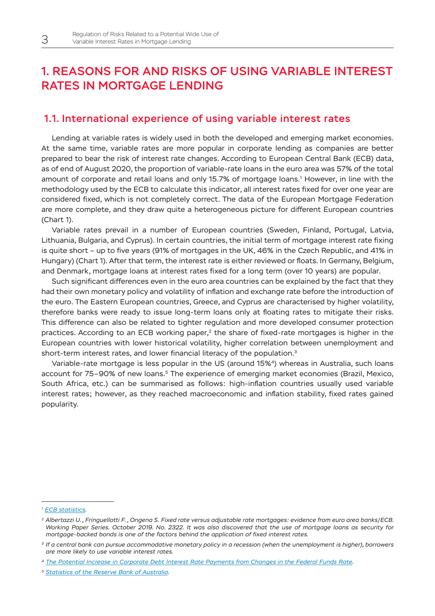### <span id="page-3-0"></span>1. REASONS FOR AND RISKS OF USING VARIABLE INTEREST RATES IN MORTGAGE LENDING

### 1.1. International experience of using variable interest rates

Lending at variable rates is widely used in both the developed and emerging market economies. At the same time, variable rates are more popular in corporate lending as companies are better prepared to bear the risk of interest rate changes. According to European Central Bank (ECB) data, as of end of August 2020, the proportion of variable-rate loans in the euro area was 57% of the total amount of corporate and retail loans and only 15.7% of mortgage loans.<sup>1</sup> However, in line with the methodology used by the ECB to calculate this indicator, all interest rates fixed for over one year are considered fixed, which is not completely correct. The data of the European Mortgage Federation are more complete, and they draw quite a heterogeneous picture for different European countries (Chart 1).

Variable rates prevail in a number of European countries (Sweden, Finland, Portugal, Latvia, Lithuania, Bulgaria, and Cyprus). In certain countries, the initial term of mortgage interest rate fixing is quite short – up to five years (91% of mortgages in the UK, 46% in the Czech Republic, and 41% in Hungary) (Chart 1). After that term, the interest rate is either reviewed or floats. In Germany, Belgium, and Denmark, mortgage loans at interest rates fixed for a long term (over 10 years) are popular.

Such significant differences even in the euro area countries can be explained by the fact that they had their own monetary policy and volatility of inflation and exchange rate before the introduction of the euro. The Eastern European countries, Greece, and Cyprus are characterised by higher volatility, therefore banks were ready to issue long-term loans only at floating rates to mitigate their risks. This difference can also be related to tighter regulation and more developed consumer protection practices. According to an ECB working paper,<sup>2</sup> the share of fixed-rate mortgages is higher in the European countries with lower historical volatility, higher correlation between unemployment and short-term interest rates, and lower financial literacy of the population.<sup>3</sup>

Variable-rate mortgage is less popular in the US (around 15%4) whereas in Australia, such loans account for 75–90% of new loans.<sup>5</sup> The experience of emerging market economies (Brazil, Mexico, South Africa, etc.) can be summarised as follows: high-inflation countries usually used variable interest rates; however, as they reached macroeconomic and inflation stability, fixed rates gained popularity.

*<sup>1</sup> [ECB statistics.](https://sdw.ecb.europa.eu/browse.do?node=9691559)*

*<sup>2</sup> Albertazzi U., Fringuellotti F., Ongena S. Fixed rate versus adjustable rate mortgages: evidence from euro area banks/ECB. Working Paper Series. October 2019. No. 2322. It was also discovered that the use of mortgage loans as security for mortgage-backed bonds is one of the factors behind the application of fixed interest rates.*

*<sup>3</sup> If a central bank can pursue accommodative monetary policy in a recession (when the unemployment is higher), borrowers are more likely to use variable interest rates.*

*<sup>4</sup> [The Potential Increase in Corporate Debt Interest Rate Payments from Changes in the Federal Funds Rate.](https://www.federalreserve.gov/econres/notes/feds-notes/potential-increase-in-corporate-debt-interest-rate-payments-from-changes-in-the-federal-funds-rate-20171115.htm)*

*<sup>5</sup> [Statistics of the Reserve Bank of Australia.](https://rba.gov.au/publications/bulletin/2020/sep/insights-from-the-new-economic-and-financial-statistics-collection.html)*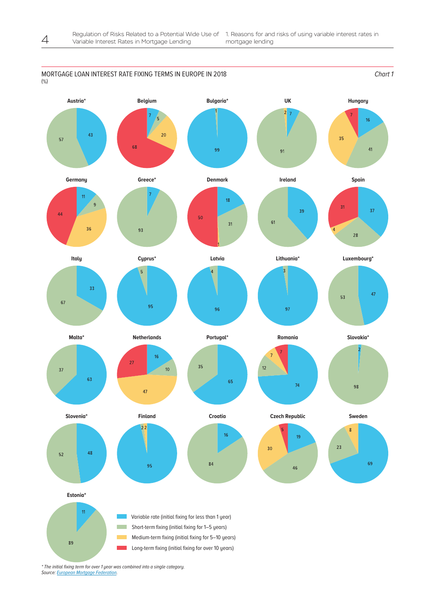



Source: **European Mortgage Federation**.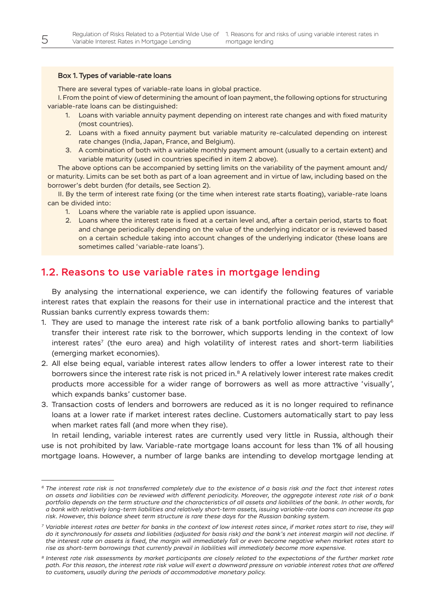#### <span id="page-5-0"></span>Box 1. Types of variable-rate loans

There are several types of variable-rate loans in global practice.

I. From the point of view of determining the amount of loan payment, the following options for structuring variable-rate loans can be distinguished:

- 1. Loans with variable annuity payment depending on interest rate changes and with fixed maturity (most countries).
- 2. Loans with a fixed annuity payment but variable maturity re-calculated depending on interest rate changes (India, Japan, France, and Belgium).
- 3. A combination of both with a variable monthly payment amount (usually to a certain extent) and variable maturity (used in countries specified in item 2 above).

The above options can be accompanied by setting limits on the variability of the payment amount and/ or maturity. Limits can be set both as part of a loan agreement and in virtue of law, including based on the borrower's debt burden (for details, see Section 2).

II. By the term of interest rate fixing (or the time when interest rate starts floating), variable-rate loans can be divided into:

- 1. Loans where the variable rate is applied upon issuance.
- 2. Loans where the interest rate is fixed at a certain level and, after a certain period, starts to float and change periodically depending on the value of the underlying indicator or is reviewed based on a certain schedule taking into account changes of the underlying indicator (these loans are sometimes called 'variable-rate loans').

### 1.2. Reasons to use variable rates in mortgage lending

By analysing the international experience, we can identify the following features of variable interest rates that explain the reasons for their use in international practice and the interest that Russian banks currently express towards them:

- 1. They are used to manage the interest rate risk of a bank portfolio allowing banks to partially<sup>6</sup> transfer their interest rate risk to the borrower, which supports lending in the context of low interest rates<sup>7</sup> (the euro area) and high volatility of interest rates and short-term liabilities (emerging market economies).
- 2. All else being equal, variable interest rates allow lenders to offer a lower interest rate to their borrowers since the interest rate risk is not priced in.<sup>8</sup> A relatively lower interest rate makes credit products more accessible for a wider range of borrowers as well as more attractive 'visually', which expands banks' customer base.
- 3. Transaction costs of lenders and borrowers are reduced as it is no longer required to refinance loans at a lower rate if market interest rates decline. Customers automatically start to pay less when market rates fall (and more when they rise).

In retail lending, variable interest rates are currently used very little in Russia, although their use is not prohibited by law. Variable-rate mortgage loans account for less than 1% of all housing mortgage loans. However, a number of large banks are intending to develop mortgage lending at

*<sup>6</sup> The interest rate risk is not transferred completely due to the existence of a basis risk and the fact that interest rates on assets and liabilities can be reviewed with different periodicity. Moreover, the aggregate interest rate risk of a bank portfolio depends on the term structure and the characteristics of all assets and liabilities of the bank. In other words, for a bank with relatively long-term liabilities and relatively short-term assets, issuing variable-rate loans can increase its gap risk. However, this balance sheet term structure is rare these days for the Russian banking system.*

*<sup>7</sup> Variable interest rates are better for banks in the context of low interest rates since, if market rates start to rise, they will do it synchronously for assets and liabilities (adjusted for basis risk) and the bank's net interest margin will not decline. If the interest rate on assets is fixed, the margin will immediately fall or even become negative when market rates start to rise as short-term borrowings that currently prevail in liabilities will immediately become more expensive.*

*<sup>8</sup> Interest rate risk assessments by market participants are closely related to the expectations of the further market rate path. For this reason, the interest rate risk value will exert a downward pressure on variable interest rates that are offered to customers, usually during the periods of accommodative monetary policy.*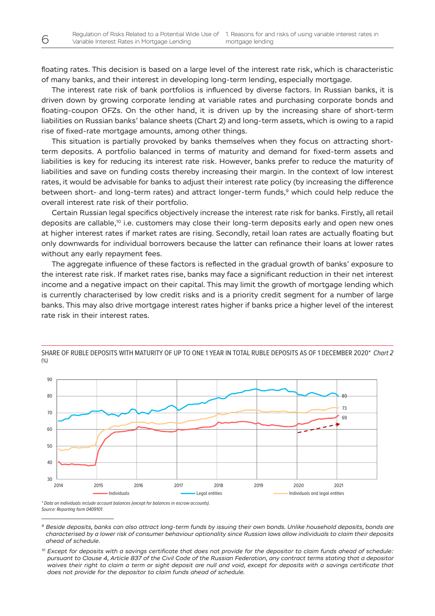floating rates. This decision is based on a large level of the interest rate risk, which is characteristic of many banks, and their interest in developing long-term lending, especially mortgage.

The interest rate risk of bank portfolios is influenced by diverse factors. In Russian banks, it is driven down by growing corporate lending at variable rates and purchasing corporate bonds and floating-coupon OFZs. On the other hand, it is driven up by the increasing share of short-term liabilities on Russian banks' balance sheets (Chart 2) and long-term assets, which is owing to a rapid rise of fixed-rate mortgage amounts, among other things.

This situation is partially provoked by banks themselves when they focus on attracting shortterm deposits. A portfolio balanced in terms of maturity and demand for fixed-term assets and liabilities is key for reducing its interest rate risk. However, banks prefer to reduce the maturity of liabilities and save on funding costs thereby increasing their margin. In the context of low interest rates, it would be advisable for banks to adjust their interest rate policy (by increasing the difference between short- and long-term rates) and attract longer-term funds,<sup>9</sup> which could help reduce the overall interest rate risk of their portfolio.

Certain Russian legal specifics objectively increase the interest rate risk for banks. Firstly, all retail deposits are callable,<sup>10</sup> i.e. customers may close their long-term deposits early and open new ones at higher interest rates if market rates are rising. Secondly, retail loan rates are actually floating but only downwards for individual borrowers because the latter can refinance their loans at lower rates without any early repayment fees.

The aggregate influence of these factors is reflected in the gradual growth of banks' exposure to the interest rate risk. If market rates rise, banks may face a significant reduction in their net interest income and a negative impact on their capital. This may limit the growth of mortgage lending which is currently characterised by low credit risks and is a priority credit segment for a number of large banks. This may also drive mortgage interest rates higher if banks price a higher level of the interest rate risk in their interest rates.



**63х170** SHARE OF RUBLE DEPOSITS WITH MATURITY OF UP TO ONE 1 YEAR IN TOTAL RUBLE DEPOSITS AS OF 1 DECEMBER 2020\* *Chart 2* (%)

\* Data on individuals include account balances (except for balances in escrow accounts). Source: Reporting form 0409101.

*<sup>9</sup> Beside deposits, banks can also attract long-term funds by issuing their own bonds. Unlike household deposits, bonds are characterised by a lower risk of consumer behaviour optionality since Russian laws allow individuals to claim their deposits ahead of schedule.*

*<sup>10</sup> Except for deposits with a savings certificate that does not provide for the depositor to claim funds ahead of schedule: pursuant to Clause 4, Article 837 of the Civil Code of the Russian Federation, any contract terms stating that a depositor waives their right to claim a term or sight deposit are null and void, except for deposits with a savings certificate that does not provide for the depositor to claim funds ahead of schedule.*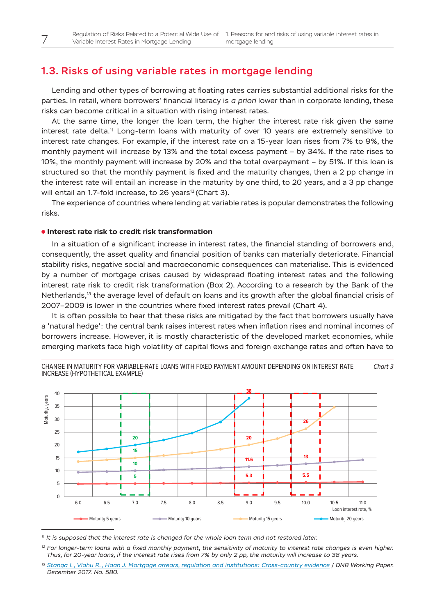### <span id="page-7-0"></span>1.3. Risks of using variable rates in mortgage lending

Lending and other types of borrowing at floating rates carries substantial additional risks for the parties. In retail, where borrowers' financial literacy is *a priori* lower than in corporate lending, these risks can become critical in a situation with rising interest rates.

At the same time, the longer the loan term, the higher the interest rate risk given the same interest rate delta.<sup>11</sup> Long-term loans with maturity of over 10 years are extremely sensitive to interest rate changes. For example, if the interest rate on a 15-year loan rises from 7% to 9%, the monthly payment will increase by 13% and the total excess payment – by 34%. If the rate rises to 10%, the monthly payment will increase by 20% and the total overpayment – by 51%. If this loan is structured so that the monthly payment is fixed and the maturity changes, then a 2 pp change in the interest rate will entail an increase in the maturity by one third, to 20 years, and a 3 pp change will entail an 1.7-fold increase, to 26 years<sup>12</sup> (Chart 3).

The experience of countries where lending at variable rates is popular demonstrates the following risks.

#### **Interest rate risk to credit risk transformation**

In a situation of a significant increase in interest rates, the financial standing of borrowers and, consequently, the asset quality and financial position of banks can materially deteriorate. Financial stability risks, negative social and macroeconomic consequences can materialise. This is evidenced by a number of mortgage crises caused by widespread floating interest rates and the following interest rate risk to credit risk transformation (Box 2). According to a research by the Bank of the Netherlands,<sup>13</sup> the average level of default on loans and its growth after the global financial crisis of 2007–2009 is lower in the countries where fixed interest rates prevail (Chart 4).

It is often possible to hear that these risks are mitigated by the fact that borrowers usually have a 'natural hedge': the central bank raises interest rates when inflation rises and nominal incomes of borrowers increase. However, it is mostly characteristic of the developed market economies, while emerging markets face high volatility of capital flows and foreign exchange rates and often have to



**67х170** CHANGE IN MATURITY FOR VARIABLE-RATE LOANS WITH FIXED PAYMENT AMOUNT DEPENDING ON INTEREST RATE INCREASE (HYPOTHETICAL EXAMPLE) *Chart 3*

*<sup>11</sup> It is supposed that the interest rate is changed for the whole loan term and not restored later.*

*<sup>12</sup> For longer-term loans with a fixed monthly payment, the sensitivity of maturity to interest rate changes is even higher. Thus, for 20-year loans, if the interest rate rises from 7% by only 2 pp, the maturity will increase to 38 years.*

*<sup>13</sup> [Stanga I., Vlahu R., Haan J. Mortgage arrears, regulation and institutions: Cross-country evidence](https://www.sciencedirect.com/science/article/abs/pii/S0378426620301552) / DNB Working Paper. December 2017. No. 580.*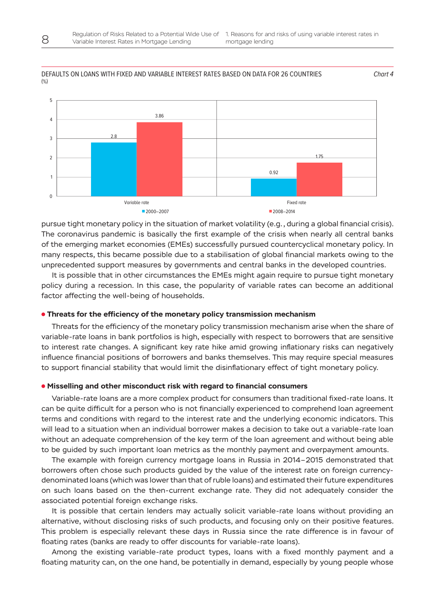

#### DEFAULTS ON LOANS WITH FIXED AND VARIABLE INTEREST RATES BASED ON DATA FOR 26 COUNTRIES (%)

pursue tight monetary policy in the situation of market volatility (e.g., during a global financial crisis). The coronavirus pandemic is basically the first example of the crisis when nearly all central banks of the emerging market economies (EMEs) successfully pursued countercyclical monetary policy. In many respects, this became possible due to a stabilisation of global financial markets owing to the unprecedented support measures by governments and central banks in the developed countries.

It is possible that in other circumstances the EMEs might again require to pursue tight monetary policy during a recession. In this case, the popularity of variable rates can become an additional factor affecting the well-being of households.

#### **Threats for the efficiency of the monetary policy transmission mechanism**

Threats for the efficiency of the monetary policy transmission mechanism arise when the share of variable-rate loans in bank portfolios is high, especially with respect to borrowers that are sensitive to interest rate changes. A significant key rate hike amid growing inflationary risks can negatively influence financial positions of borrowers and banks themselves. This may require special measures to support financial stability that would limit the disinflationary effect of tight monetary policy.

#### **Misselling and other misconduct risk with regard to financial consumers**

Variable-rate loans are a more complex product for consumers than traditional fixed-rate loans. It can be quite difficult for a person who is not financially experienced to comprehend loan agreement terms and conditions with regard to the interest rate and the underlying economic indicators. This will lead to a situation when an individual borrower makes a decision to take out a variable-rate loan without an adequate comprehension of the key term of the loan agreement and without being able to be guided by such important loan metrics as the monthly payment and overpayment amounts.

The example with foreign currency mortgage loans in Russia in 2014–2015 demonstrated that borrowers often chose such products guided by the value of the interest rate on foreign currencydenominated loans (which was lower than that of ruble loans) and estimated their future expenditures on such loans based on the then-current exchange rate. They did not adequately consider the associated potential foreign exchange risks.

It is possible that certain lenders may actually solicit variable-rate loans without providing an alternative, without disclosing risks of such products, and focusing only on their positive features. This problem is especially relevant these days in Russia since the rate difference is in favour of floating rates (banks are ready to offer discounts for variable-rate loans).

Among the existing variable-rate product types, loans with a fixed monthly payment and a floating maturity can, on the one hand, be potentially in demand, especially by young people whose

*Chart* 4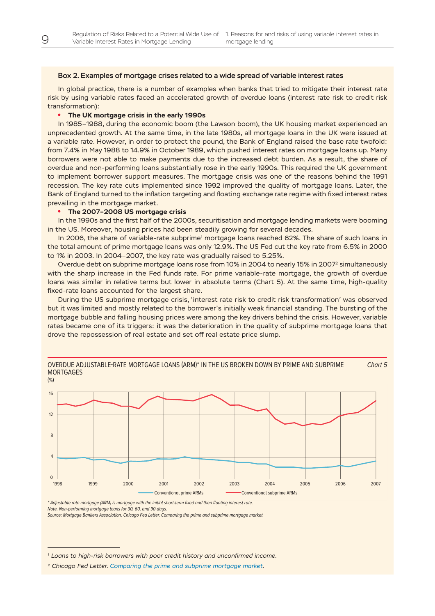#### Box 2. Examples of mortgage crises related to a wide spread of variable interest rates

In global practice, there is a number of examples when banks that tried to mitigate their interest rate risk by using variable rates faced an accelerated growth of overdue loans (interest rate risk to credit risk transformation):

#### **• The UK mortgage crisis in the early 1990s**

In 1985–1988, during the economic boom (the Lawson boom), the UK housing market experienced an unprecedented growth. At the same time, in the late 1980s, all mortgage loans in the UK were issued at a variable rate. However, in order to protect the pound, the Bank of England raised the base rate twofold: from 7.4% in May 1988 to 14.9% in October 1989, which pushed interest rates on mortgage loans up. Many borrowers were not able to make payments due to the increased debt burden. As a result, the share of overdue and non-performing loans substantially rose in the early 1990s. This required the UK government to implement borrower support measures. The mortgage crisis was one of the reasons behind the 1991 recession. The key rate cuts implemented since 1992 improved the quality of mortgage loans. Later, the Bank of England turned to the inflation targeting and floating exchange rate regime with fixed interest rates prevailing in the mortgage market.

#### **• The 2007–2008 US mortgage crisis**

In the 1990s and the first half of the 2000s, securitisation and mortgage lending markets were booming in the US. Moreover, housing prices had been steadily growing for several decades.

In 2006, the share of variable-rate subprime<sup>1</sup> mortgage loans reached 62%. The share of such loans in the total amount of prime mortgage loans was only 12.9%. The US Fed cut the key rate from 6.5% in 2000 to 1% in 2003. In 2004–2007, the key rate was gradually raised to 5.25%.

Overdue debt on subprime mortgage loans rose from 10% in 2004 to nearly 15% in 2007<sup>2</sup> simultaneously with the sharp increase in the Fed funds rate. For prime variable-rate mortgage, the growth of overdue loans was similar in relative terms but lower in absolute terms (Chart 5). At the same time, high-quality fixed-rate loans accounted for the largest share.

During the US subprime mortgage crisis, 'interest rate risk to credit risk transformation' was observed but it was limited and mostly related to the borrower's initially weak financial standing. The bursting of the mortgage bubble and falling housing prices were among the key drivers behind the crisis. However, variable rates became one of its triggers: it was the deterioration in the quality of subprime mortgage loans that drove the repossession of real estate and set off real estate price slump.





\* Adjustable rate mortgage (ARM) is mortgage with the initial short-term fixed and then floating interest rate. Note. Non-performing mortgage loans for 30, 60, and 90 days.

Source: Mortgage Bankers Association. Chicago Fed Letter. Comparing the prime and subprime mortgage market.

*<sup>1</sup> Loans to high-risk borrowers with poor credit history and unconfirmed income.*

*<sup>2</sup> Chicago Fed Letter. [Comparing the prime and subprime mortgage market.](https://core.ac.uk/download/pdf/6986311.pdf)*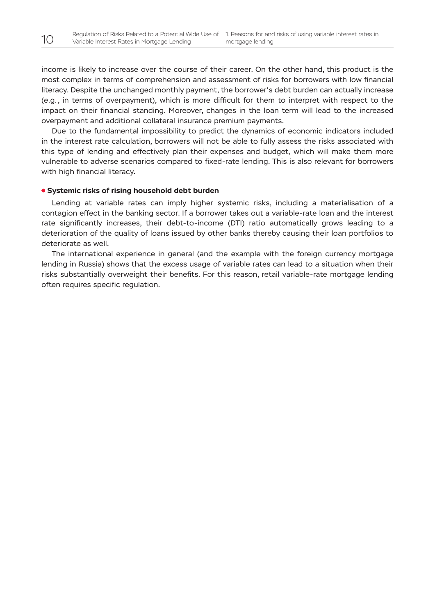income is likely to increase over the course of their career. On the other hand, this product is the most complex in terms of comprehension and assessment of risks for borrowers with low financial literacy. Despite the unchanged monthly payment, the borrower's debt burden can actually increase (e.g., in terms of overpayment), which is more difficult for them to interpret with respect to the impact on their financial standing. Moreover, changes in the loan term will lead to the increased overpayment and additional collateral insurance premium payments.

Due to the fundamental impossibility to predict the dynamics of economic indicators included in the interest rate calculation, borrowers will not be able to fully assess the risks associated with this type of lending and effectively plan their expenses and budget, which will make them more vulnerable to adverse scenarios compared to fixed-rate lending. This is also relevant for borrowers with high financial literacy.

#### **Systemic risks of rising household debt burden**

Lending at variable rates can imply higher systemic risks, including a materialisation of a contagion effect in the banking sector. If a borrower takes out a variable-rate loan and the interest rate significantly increases, their debt-to-income (DTI) ratio automatically grows leading to a deterioration of the quality of loans issued by other banks thereby causing their loan portfolios to deteriorate as well.

The international experience in general (and the example with the foreign currency mortgage lending in Russia) shows that the excess usage of variable rates can lead to a situation when their risks substantially overweight their benefits. For this reason, retail variable-rate mortgage lending often requires specific regulation.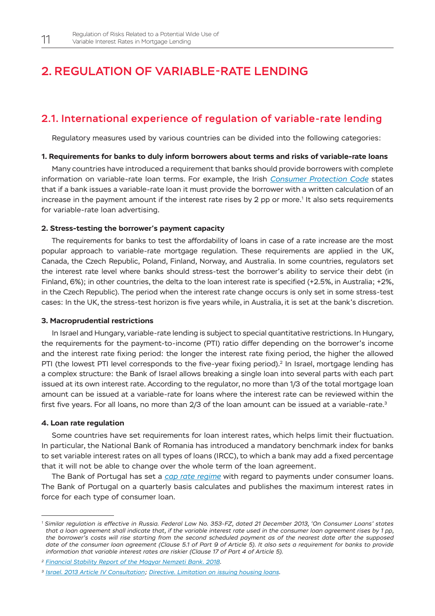### <span id="page-11-0"></span>2. REGULATION OF VARIABLE-RATE LENDING

### 2.1. International experience of regulation of variable-rate lending

Regulatory measures used by various countries can be divided into the following categories:

#### **1. Requirements for banks to duly inform borrowers about terms and risks of variable-rate loans**

Many countries have introduced a requirement that banks should provide borrowers with complete information on variable-rate loan terms. For example, the Irish *[Consumer Protection Code](https://www.centralbank.ie/docs/default-source/regulation/consumer-protection/other-codes-of-conduct/4-gns-4-2-7-cp-code-2012.pdf?sfvrsn=6)* states that if a bank issues a variable-rate loan it must provide the borrower with a written calculation of an increase in the payment amount if the interest rate rises by 2 pp or more. $^{\rm 1}$  It also sets requirements for variable-rate loan advertising.

#### **2. Stress-testing the borrower's payment capacity**

The requirements for banks to test the affordability of loans in case of a rate increase are the most popular approach to variable-rate mortgage regulation. These requirements are applied in the UK, Canada, the Czech Republic, Poland, Finland, Norway, and Australia. In some countries, regulators set the interest rate level where banks should stress-test the borrower's ability to service their debt (in Finland, 6%); in other countries, the delta to the loan interest rate is specified (+2.5%, in Australia; +2%, in the Czech Republic). The period when the interest rate change occurs is only set in some stress-test cases: In the UK, the stress-test horizon is five years while, in Australia, it is set at the bank's discretion.

#### **3. Macroprudential restrictions**

In Israel and Hungary, variable-rate lending is subject to special quantitative restrictions. In Hungary, the requirements for the payment-to-income (PTI) ratio differ depending on the borrower's income and the interest rate fixing period: the longer the interest rate fixing period, the higher the allowed PTI (the lowest PTI level corresponds to the five-year fixing period).<sup>2</sup> In Israel, mortgage lending has a complex structure: the Bank of Israel allows breaking a single loan into several parts with each part issued at its own interest rate. According to the regulator, no more than 1/3 of the total mortgage loan amount can be issued at a variable-rate for loans where the interest rate can be reviewed within the first five years. For all loans, no more than 2/3 of the loan amount can be issued at a variable-rate.3

#### **4. Loan rate regulation**

Some countries have set requirements for loan interest rates, which helps limit their fluctuation. In particular, the National Bank of Romania has introduced a mandatory benchmark index for banks to set variable interest rates on all types of loans (IRCC), to which a bank may add a fixed percentage that it will not be able to change over the whole term of the loan agreement.

The Bank of Portugal has set a *[cap rate regime](https://clientebancario.bportugal.pt/en/interest-rates-consumer-credit)* with regard to payments under consumer loans. The Bank of Portugal on a quarterly basis calculates and publishes the maximum interest rates in force for each type of consumer loan.

*<sup>1</sup> Similar regulation is effective in Russia. Federal Law No. 353-FZ, dated 21 December 2013, 'On Consumer Loans' states that a loan agreement shall indicate that, if the variable interest rate used in the consumer loan agreement rises by 1 pp, the borrower's costs will rise starting from the second scheduled payment as of the nearest date after the supposed date of the consumer loan agreement (Clause 5.1 of Part 9 of Article 5). It also sets a requirement for banks to provide information that variable interest rates are riskier (Clause 17 of Part 4 of Article 5).*

*<sup>2</sup> [Financial Stability Report of the Magyar Nemzeti Bank. 2018.](http://www.centerforfinancialstability.org/fsr/hun_fsr_201811.pdf)*

*<sup>3</sup> [Israel. 2013 Article IV Consultation](https://www.imf.org/external/pubs/ft/scr/2014/cr1447.pdf); [Directive. Limitation on issuing housing loans.](https://www.boi.org.il/en/BankingSupervision/SupervisorsDirectives/ProperConductOfBankingBusinessRegulations/329_et.pdf)*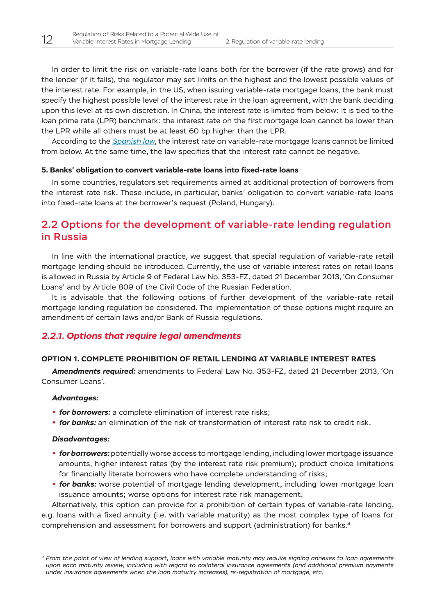<span id="page-12-0"></span>In order to limit the risk on variable-rate loans both for the borrower (if the rate grows) and for the lender (if it falls), the regulator may set limits on the highest and the lowest possible values of the interest rate. For example, in the US, when issuing variable-rate mortgage loans, the bank must specify the highest possible level of the interest rate in the loan agreement, with the bank deciding upon this level at its own discretion. In China, the interest rate is limited from below: it is tied to the loan prime rate (LPR) benchmark: the interest rate on the first mortgage loan cannot be lower than the LPR while all others must be at least 60 bp higher than the LPR.

According to the *[Spanish law](https://www.boe.es/buscar/doc.php?id=BOE-A-2019-3814)*, the interest rate on variable-rate mortgage loans cannot be limited from below. At the same time, the law specifies that the interest rate cannot be negative.

#### **5. Banks' obligation to convert variable-rate loans into fixed-rate loans**

In some countries, regulators set requirements aimed at additional protection of borrowers from the interest rate risk. These include, in particular, banks' obligation to convert variable-rate loans into fixed-rate loans at the borrower's request (Poland, Hungary).

### 2.2 Options for the development of variable-rate lending regulation in Russia

In line with the international practice, we suggest that special regulation of variable-rate retail mortgage lending should be introduced. Currently, the use of variable interest rates on retail loans is allowed in Russia by Article 9 of Federal Law No. 353-FZ, dated 21 December 2013, 'On Consumer Loans' and by Article 809 of the Civil Code of the Russian Federation.

It is advisable that the following options of further development of the variable-rate retail mortgage lending regulation be considered. The implementation of these options might require an amendment of certain laws and/or Bank of Russia regulations.

#### *2.2.1. Options that require legal amendments*

#### **OPTION 1. COMPLETE PROHIBITION OF RETAIL LENDING AT VARIABLE INTEREST RATES**

*Amendments required:* amendments to Federal Law No. 353-FZ, dated 21 December 2013, 'On Consumer Loans'.

#### *Advantages:*

- **•** *for borrowers:* a complete elimination of interest rate risks;
- **•** *for banks:* an elimination of the risk of transformation of interest rate risk to credit risk.

#### *Disadvantages:*

- **•** *for borrowers:* potentially worse access to mortgage lending, including lower mortgage issuance amounts, higher interest rates (by the interest rate risk premium); product choice limitations for financially literate borrowers who have complete understanding of risks;
- **for banks:** worse potential of mortgage lending development, including lower mortgage loan issuance amounts; worse options for interest rate risk management.

Alternatively, this option can provide for a prohibition of certain types of variable-rate lending, e.g. loans with a fixed annuity (i.e. with variable maturity) as the most complex type of loans for comprehension and assessment for borrowers and support (administration) for banks.4

*<sup>4</sup> From the point of view of lending support, loans with variable maturity may require signing annexes to loan agreements upon each maturity review, including with regard to collateral insurance agreements (and additional premium payments under insurance agreements when the loan maturity increases), re-registration of mortgage, etc.*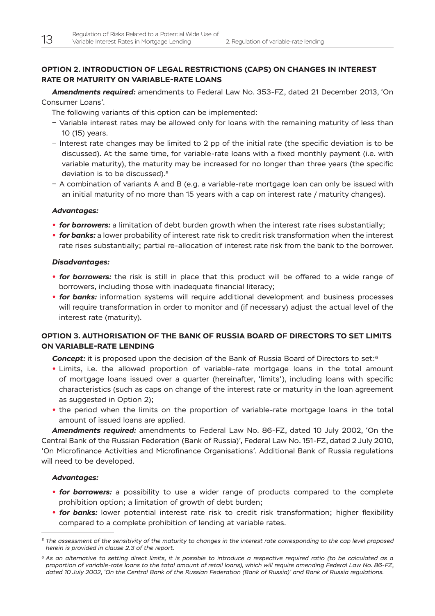#### **OPTION 2. INTRODUCTION OF LEGAL RESTRICTIONS (CAPS) ON CHANGES IN INTEREST RATE OR MATURITY ON VARIABLE-RATE LOANS**

*Amendments required:* amendments to Federal Law No. 353-FZ, dated 21 December 2013, 'On Consumer Loans'.

The following variants of this option can be implemented:

- Variable interest rates may be allowed only for loans with the remaining maturity of less than 10 (15) years.
- ‒ Interest rate changes may be limited to 2 pp of the initial rate (the specific deviation is to be discussed). At the same time, for variable-rate loans with a fixed monthly payment (i.e. with variable maturity), the maturity may be increased for no longer than three years (the specific deviation is to be discussed).5
- ‒ A combination of variants A and B (e.g. a variable-rate mortgage loan can only be issued with an initial maturity of no more than 15 years with a cap on interest rate / maturity changes).

#### *Advantages:*

- **•** *for borrowers:* a limitation of debt burden growth when the interest rate rises substantially;
- **•** *for banks:* a lower probability of interest rate risk to credit risk transformation when the interest rate rises substantially; partial re-allocation of interest rate risk from the bank to the borrower.

#### *Disadvantages:*

- **•** *for borrowers:* the risk is still in place that this product will be offered to a wide range of borrowers, including those with inadequate financial literacy;
- **for banks:** information systems will require additional development and business processes will require transformation in order to monitor and (if necessary) adjust the actual level of the interest rate (maturity).

#### **OPTION 3. AUTHORISATION OF THE BANK OF RUSSIA BOARD OF DIRECTORS TO SET LIMITS ON VARIABLE-RATE LENDING**

**Concept:** it is proposed upon the decision of the Bank of Russia Board of Directors to set:<sup>6</sup>

- **•** Limits, i.e. the allowed proportion of variable-rate mortgage loans in the total amount of mortgage loans issued over a quarter (hereinafter, 'limits'), including loans with specific characteristics (such as caps on change of the interest rate or maturity in the loan agreement as suggested in Option 2);
- **•** the period when the limits on the proportion of variable-rate mortgage loans in the total amount of issued loans are applied.

*Amendments required:* amendments to Federal Law No. 86-FZ, dated 10 July 2002, 'On the Central Bank of the Russian Federation (Bank of Russia)', Federal Law No. 151-FZ, dated 2 July 2010, 'On Microfinance Activities and Microfinance Organisations'. Additional Bank of Russia regulations will need to be developed.

#### *Advantages:*

- **•** *for borrowers:* a possibility to use a wider range of products compared to the complete prohibition option; a limitation of growth of debt burden;
- **for banks:** lower potential interest rate risk to credit risk transformation; higher flexibility compared to a complete prohibition of lending at variable rates.

*<sup>5</sup> The assessment of the sensitivity of the maturity to changes in the interest rate corresponding to the cap level proposed herein is provided in clause 2.3 of the report.*

*<sup>6</sup> As an alternative to setting direct limits, it is possible to introduce a respective required ratio (to be calculated as a proportion of variable-rate loans to the total amount of retail loans), which will require amending Federal Law No. 86-FZ, dated 10 July 2002, 'On the Central Bank of the Russian Federation (Bank of Russia)' and Bank of Russia regulations.*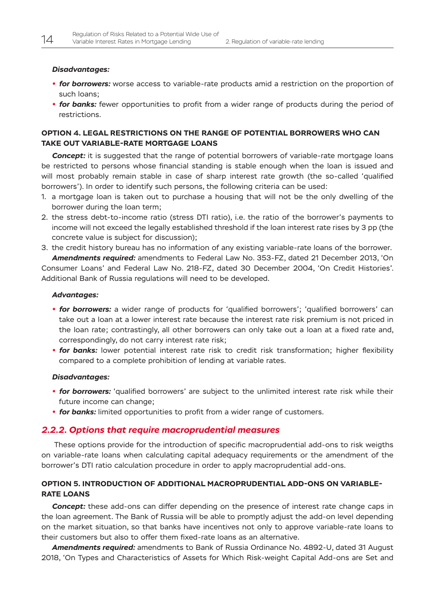#### <span id="page-14-0"></span>*Disadvantages:*

- **•** *for borrowers:* worse access to variable-rate products amid a restriction on the proportion of such loans;
- **for banks:** fewer opportunities to profit from a wider range of products during the period of restrictions.

#### **OPTION 4. LEGAL RESTRICTIONS ON THE RANGE OF POTENTIAL BORROWERS WHO CAN TAKE OUT VARIABLE-RATE MORTGAGE LOANS**

*Concept:* it is suggested that the range of potential borrowers of variable-rate mortgage loans be restricted to persons whose financial standing is stable enough when the loan is issued and will most probably remain stable in case of sharp interest rate growth (the so-called 'qualified borrowers'). In order to identify such persons, the following criteria can be used:

- 1. a mortgage loan is taken out to purchase a housing that will not be the only dwelling of the borrower during the loan term;
- 2. the stress debt-to-income ratio (stress DTI ratio), i.e. the ratio of the borrower's payments to income will not exceed the legally established threshold if the loan interest rate rises by 3 pp (the concrete value is subject for discussion);
- 3. the credit history bureau has no information of any existing variable-rate loans of the borrower. *Amendments required:* amendments to Federal Law No. 353-FZ, dated 21 December 2013, 'On

Consumer Loans' and Federal Law No. 218-FZ, dated 30 December 2004, 'On Credit Histories'. Additional Bank of Russia regulations will need to be developed.

#### *Advantages:*

- **•** *for borrowers:* a wider range of products for 'qualified borrowers'; 'qualified borrowers' can take out a loan at a lower interest rate because the interest rate risk premium is not priced in the loan rate; contrastingly, all other borrowers can only take out a loan at a fixed rate and, correspondingly, do not carry interest rate risk;
- **for banks:** lower potential interest rate risk to credit risk transformation; higher flexibility compared to a complete prohibition of lending at variable rates.

#### *Disadvantages:*

- **•** *for borrowers:* 'qualified borrowers' are subject to the unlimited interest rate risk while their future income can change;
- **•** *for banks:* limited opportunities to profit from a wider range of customers.

#### *2.2.2. Options that require macroprudential measures*

 These options provide for the introduction of specific macroprudential add-ons to risk weigths on variable-rate loans when calculating capital adequacy requirements or the amendment of the borrower's DTI ratio calculation procedure in order to apply macroprudential add-ons.

#### **OPTION 5. INTRODUCTION OF ADDITIONAL MACROPRUDENTIAL ADD-ONS ON VARIABLE-RATE LOANS**

**Concept:** these add-ons can differ depending on the presence of interest rate change caps in the loan agreement. The Bank of Russia will be able to promptly adjust the add-on level depending on the market situation, so that banks have incentives not only to approve variable-rate loans to their customers but also to offer them fixed-rate loans as an alternative.

*Amendments required:* amendments to Bank of Russia Ordinance No. 4892-U, dated 31 August 2018, 'On Types and Characteristics of Assets for Which Risk-weight Capital Add-ons are Set and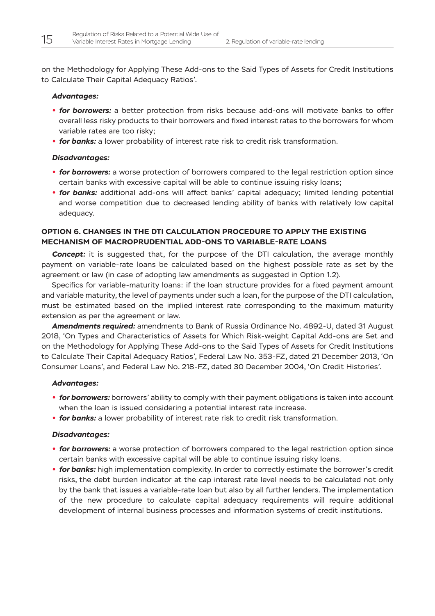on the Methodology for Applying These Add-ons to the Said Types of Assets for Credit Institutions to Calculate Their Capital Adequacy Ratios'.

#### *Advantages:*

- **•** *for borrowers:* a better protection from risks because add-ons will motivate banks to offer overall less risky products to their borrowers and fixed interest rates to the borrowers for whom variable rates are too risky;
- **•** *for banks:* a lower probability of interest rate risk to credit risk transformation.

#### *Disadvantages:*

- **for borrowers:** a worse protection of borrowers compared to the legal restriction option since certain banks with excessive capital will be able to continue issuing risky loans;
- **•** *for banks:* additional add-ons will affect banks' capital adequacy; limited lending potential and worse competition due to decreased lending ability of banks with relatively low capital adequacy.

#### **OPTION 6. CHANGES IN THE DTI CALCULATION PROCEDURE TO APPLY THE EXISTING MECHANISM OF MACROPRUDENTIAL ADD-ONS TO VARIABLE-RATE LOANS**

**Concept:** it is suggested that, for the purpose of the DTI calculation, the average monthly payment on variable-rate loans be calculated based on the highest possible rate as set by the agreement or law (in case of adopting law amendments as suggested in Option 1.2).

Specifics for variable-maturity loans: if the loan structure provides for a fixed payment amount and variable maturity, the level of payments under such a loan, for the purpose of the DTI calculation, must be estimated based on the implied interest rate corresponding to the maximum maturity extension as per the agreement or law.

*Amendments required:* amendments to Bank of Russia Ordinance No. 4892-U, dated 31 August 2018, 'On Types and Characteristics of Assets for Which Risk-weight Capital Add-ons are Set and on the Methodology for Applying These Add-ons to the Said Types of Assets for Credit Institutions to Calculate Their Capital Adequacy Ratios', Federal Law No. 353-FZ, dated 21 December 2013, 'On Consumer Loans', and Federal Law No. 218-FZ, dated 30 December 2004, 'On Credit Histories'.

#### *Advantages:*

- **•** *for borrowers:* borrowers' ability to comply with their payment obligations is taken into account when the loan is issued considering a potential interest rate increase.
- **•** *for banks:* a lower probability of interest rate risk to credit risk transformation.

#### *Disadvantages:*

- **for borrowers:** a worse protection of borrowers compared to the legal restriction option since certain banks with excessive capital will be able to continue issuing risky loans.
- *for banks:* high implementation complexity. In order to correctly estimate the borrower's credit risks, the debt burden indicator at the cap interest rate level needs to be calculated not only by the bank that issues a variable-rate loan but also by all further lenders. The implementation of the new procedure to calculate capital adequacy requirements will require additional development of internal business processes and information systems of credit institutions.